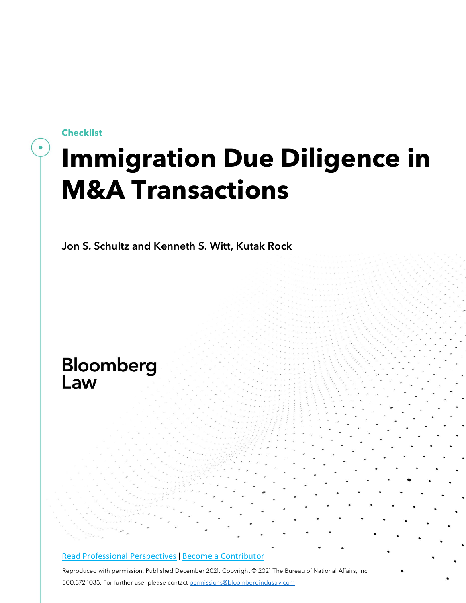**Checklist**

## **Immigration Due Diligence in M&A Transactions**

Jon S. Schultz and Kenneth S. Witt, Kutak Rock

# **Bloomberg**<br>Law

#### Read Professional [Perspectives](https://www.bloomberglaw.com/product/blaw/search/results/fce5c55b80fd6db95984633eb48fa7d5?utm_source=ACQ&utm_medium=PRP) | Become a [Contributor](https://pro.bloomberglaw.com/become-a-contributor/?utm_source=ACQ&utm_medium=PRP)

Reproduced with permission. Published December 2021. Copyright © 2021 The Bureau of National Affairs, Inc. 800.372.1033. For further use, please contact [permissions@bloombergindustry.com](mailto:permissions@bloombergindustry.com)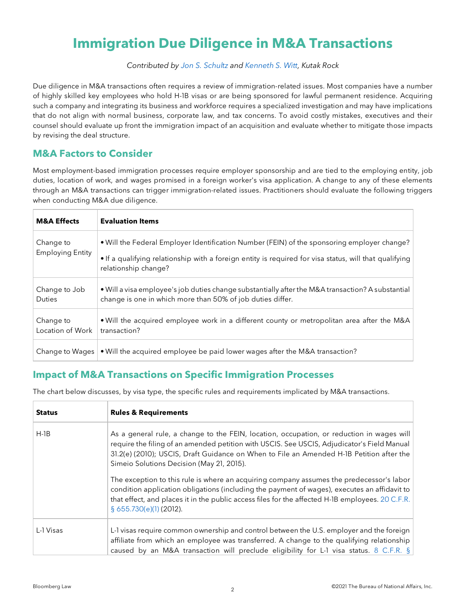### **Immigration Due Diligence in M&A Transactions**

*Contributed by [Jon S. Schultz](https://www.kutakrock.com/people/s/schultz-jon-s) and [Kenneth S. Witt,](https://www.kutakrock.com/people/w/witt-kenneth-s) Kutak Rock*

Due diligence in M&A transactions often requires a review of immigration-related issues. Most companies have a number of highly skilled key employees who hold H-1B visas or are being sponsored for lawful permanent residence. Acquiring such a company and integrating its business and workforce requires a specialized investigation and may have implications that do not align with normal business, corporate law, and tax concerns. To avoid costly mistakes, executives and their counsel should evaluate up front the immigration impact of an acquisition and evaluate whether to mitigate those impacts by revising the deal structure.

#### **M&A Factors to Consider**

Most employment-based immigration processes require employer sponsorship and are tied to the employing entity, job duties, location of work, and wages promised in a foreign worker's visa application. A change to any of these elements through an M&A transactions can trigger immigration-related issues. Practitioners should evaluate the following triggers when conducting M&A due diligence.

| <b>M&amp;A Effects</b>               | <b>Evaluation Items</b>                                                                                                                                                                                                       |
|--------------------------------------|-------------------------------------------------------------------------------------------------------------------------------------------------------------------------------------------------------------------------------|
| Change to<br><b>Employing Entity</b> | • Will the Federal Employer Identification Number (FEIN) of the sponsoring employer change?<br>• If a qualifying relationship with a foreign entity is required for visa status, will that qualifying<br>relationship change? |
| Change to Job<br>Duties              | . Will a visa employee's job duties change substantially after the M&A transaction? A substantial<br>change is one in which more than 50% of job duties differ.                                                               |
| Change to<br>Location of Work        | . Will the acquired employee work in a different county or metropolitan area after the M&A<br>transaction?                                                                                                                    |
| Change to Wages                      | . Will the acquired employee be paid lower wages after the M&A transaction?                                                                                                                                                   |

#### **Impact of M&A Transactions on Specific Immigration Processes**

The chart below discusses, by visa type, the specific rules and requirements implicated by M&A transactions.

| <b>Status</b> | <b>Rules &amp; Requirements</b>                                                                                                                                                                                                                                                                                                   |
|---------------|-----------------------------------------------------------------------------------------------------------------------------------------------------------------------------------------------------------------------------------------------------------------------------------------------------------------------------------|
| $H-1B$        | As a general rule, a change to the FEIN, location, occupation, or reduction in wages will<br>require the filing of an amended petition with USCIS. See USCIS, Adjudicator's Field Manual<br>31.2(e) (2010); USCIS, Draft Guidance on When to File an Amended H-1B Petition after the<br>Simeio Solutions Decision (May 21, 2015). |
|               | The exception to this rule is where an acquiring company assumes the predecessor's labor<br>condition application obligations (including the payment of wages), executes an affidavit to<br>that effect, and places it in the public access files for the affected H-1B employees. 20 C.F.R.<br>$§$ 655.730(e)(1)(2012).          |
| L-1 Visas     | L-I visas require common ownership and control between the U.S. employer and the foreign<br>affiliate from which an employee was transferred. A change to the qualifying relationship<br>caused by an M&A transaction will preclude eligibility for L-1 visa status. 8 C.F.R. §                                                   |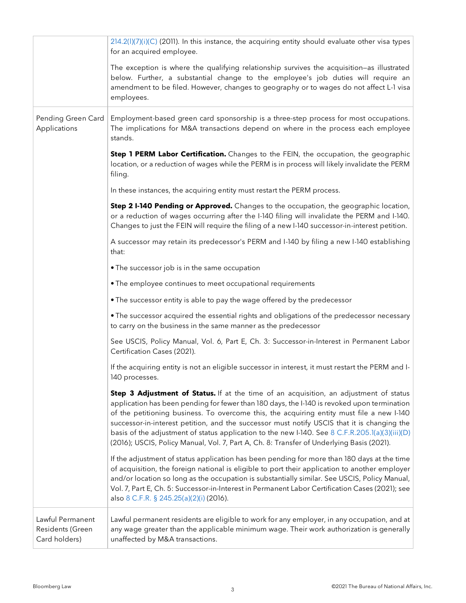|                                                       | $214.2(1)(7)(i)(C)$ (2011). In this instance, the acquiring entity should evaluate other visa types<br>for an acquired employee.                                                                                                                                                                                                                                                                                                                                                                                                                                                  |
|-------------------------------------------------------|-----------------------------------------------------------------------------------------------------------------------------------------------------------------------------------------------------------------------------------------------------------------------------------------------------------------------------------------------------------------------------------------------------------------------------------------------------------------------------------------------------------------------------------------------------------------------------------|
|                                                       | The exception is where the qualifying relationship survives the acquisition-as illustrated<br>below. Further, a substantial change to the employee's job duties will require an<br>amendment to be filed. However, changes to geography or to wages do not affect L-1 visa                                                                                                                                                                                                                                                                                                        |
|                                                       | employees.                                                                                                                                                                                                                                                                                                                                                                                                                                                                                                                                                                        |
| Pending Green Card<br>Applications                    | Employment-based green card sponsorship is a three-step process for most occupations.<br>The implications for M&A transactions depend on where in the process each employee<br>stands.                                                                                                                                                                                                                                                                                                                                                                                            |
|                                                       | Step 1 PERM Labor Certification. Changes to the FEIN, the occupation, the geographic<br>location, or a reduction of wages while the PERM is in process will likely invalidate the PERM<br>filing.                                                                                                                                                                                                                                                                                                                                                                                 |
|                                                       | In these instances, the acquiring entity must restart the PERM process.                                                                                                                                                                                                                                                                                                                                                                                                                                                                                                           |
|                                                       | Step 2 I-140 Pending or Approved. Changes to the occupation, the geographic location,<br>or a reduction of wages occurring after the I-140 filing will invalidate the PERM and I-140.<br>Changes to just the FEIN will require the filing of a new I-140 successor-in-interest petition.                                                                                                                                                                                                                                                                                          |
|                                                       | A successor may retain its predecessor's PERM and I-140 by filing a new I-140 establishing<br>that:                                                                                                                                                                                                                                                                                                                                                                                                                                                                               |
|                                                       | • The successor job is in the same occupation                                                                                                                                                                                                                                                                                                                                                                                                                                                                                                                                     |
|                                                       | • The employee continues to meet occupational requirements                                                                                                                                                                                                                                                                                                                                                                                                                                                                                                                        |
|                                                       | • The successor entity is able to pay the wage offered by the predecessor                                                                                                                                                                                                                                                                                                                                                                                                                                                                                                         |
|                                                       | • The successor acquired the essential rights and obligations of the predecessor necessary<br>to carry on the business in the same manner as the predecessor                                                                                                                                                                                                                                                                                                                                                                                                                      |
|                                                       | See USCIS, Policy Manual, Vol. 6, Part E, Ch. 3: Successor-in-Interest in Permanent Labor<br>Certification Cases (2021).                                                                                                                                                                                                                                                                                                                                                                                                                                                          |
|                                                       | If the acquiring entity is not an eligible successor in interest, it must restart the PERM and I-<br>140 processes.                                                                                                                                                                                                                                                                                                                                                                                                                                                               |
|                                                       | Step 3 Adjustment of Status. If at the time of an acquisition, an adjustment of status<br>application has been pending for fewer than 180 days, the I-140 is revoked upon termination<br>of the petitioning business. To overcome this, the acquiring entity must file a new I-140<br>successor-in-interest petition, and the successor must notify USCIS that it is changing the<br>basis of the adjustment of status application to the new I-140. See 8 C.F.R.205.1(a)(3)(iii)(D)<br>(2016); USCIS, Policy Manual, Vol. 7, Part A, Ch. 8: Transfer of Underlying Basis (2021). |
|                                                       | If the adjustment of status application has been pending for more than 180 days at the time<br>of acquisition, the foreign national is eligible to port their application to another employer<br>and/or location so long as the occupation is substantially similar. See USCIS, Policy Manual,<br>Vol. 7, Part E, Ch. 5: Successor-in-Interest in Permanent Labor Certification Cases (2021); see<br>also 8 C.F.R. § 245.25(a)(2)(i) (2016).                                                                                                                                      |
| Lawful Permanent<br>Residents (Green<br>Card holders) | Lawful permanent residents are eligible to work for any employer, in any occupation, and at<br>any wage greater than the applicable minimum wage. Their work authorization is generally<br>unaffected by M&A transactions.                                                                                                                                                                                                                                                                                                                                                        |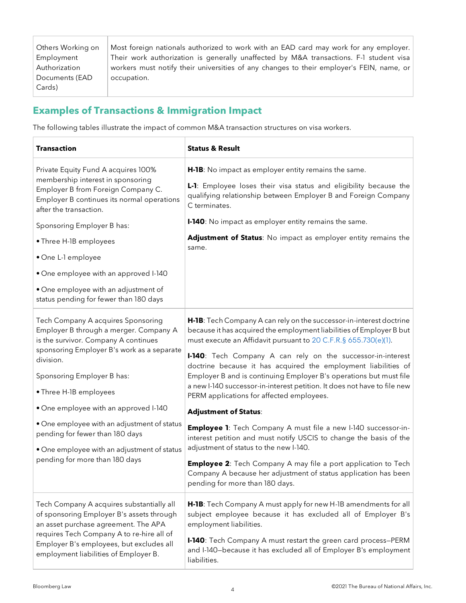Others Working on Employment Authorization Documents (EAD Cards) Most foreign nationals authorized to work with an EAD card may work for any employer. Their work authorization is generally unaffected by M&A transactions. F-1 student visa workers must notify their universities of any changes to their employer's FEIN, name, or occupation.

#### **Examples of Transactions & Immigration Impact**

The following tables illustrate the impact of common M&A transaction structures on visa workers.

| <b>Transaction</b>                                                                                                                                                                                                                                                                                                                                                                                                                                  | <b>Status &amp; Result</b>                                                                                                                                                                                                                                                                                                                                                                                                                                                                                                                                                                                                                                                                                                                                                                                                                                                                                                                      |
|-----------------------------------------------------------------------------------------------------------------------------------------------------------------------------------------------------------------------------------------------------------------------------------------------------------------------------------------------------------------------------------------------------------------------------------------------------|-------------------------------------------------------------------------------------------------------------------------------------------------------------------------------------------------------------------------------------------------------------------------------------------------------------------------------------------------------------------------------------------------------------------------------------------------------------------------------------------------------------------------------------------------------------------------------------------------------------------------------------------------------------------------------------------------------------------------------------------------------------------------------------------------------------------------------------------------------------------------------------------------------------------------------------------------|
| Private Equity Fund A acquires 100%<br>membership interest in sponsoring<br>Employer B from Foreign Company C.<br>Employer B continues its normal operations<br>after the transaction.<br>Sponsoring Employer B has:<br>• Three H-1B employees<br>• One L-1 employee<br>• One employee with an approved I-140<br>• One employee with an adjustment of<br>status pending for fewer than 180 days                                                     | H-1B: No impact as employer entity remains the same.<br>L-1: Employee loses their visa status and eligibility because the<br>qualifying relationship between Employer B and Foreign Company<br>C terminates.<br><b>I-140</b> : No impact as employer entity remains the same.<br>Adjustment of Status: No impact as employer entity remains the<br>same.                                                                                                                                                                                                                                                                                                                                                                                                                                                                                                                                                                                        |
| Tech Company A acquires Sponsoring<br>Employer B through a merger. Company A<br>is the survivor. Company A continues<br>sponsoring Employer B's work as a separate<br>division.<br>Sponsoring Employer B has:<br>• Three H-1B employees<br>. One employee with an approved I-140<br>• One employee with an adjustment of status<br>pending for fewer than 180 days<br>• One employee with an adjustment of status<br>pending for more than 180 days | H-1B: Tech Company A can rely on the successor-in-interest doctrine<br>because it has acquired the employment liabilities of Employer B but<br>must execute an Affidavit pursuant to 20 C.F.R.§ 655.730(e)(1).<br>I-140: Tech Company A can rely on the successor-in-interest<br>doctrine because it has acquired the employment liabilities of<br>Employer B and is continuing Employer B's operations but must file<br>a new I-140 successor-in-interest petition. It does not have to file new<br>PERM applications for affected employees.<br><b>Adjustment of Status:</b><br>Employee 1: Tech Company A must file a new I-140 successor-in-<br>interest petition and must notify USCIS to change the basis of the<br>adjustment of status to the new I-140.<br><b>Employee 2:</b> Tech Company A may file a port application to Tech<br>Company A because her adjustment of status application has been<br>pending for more than 180 days. |
| Tech Company A acquires substantially all<br>of sponsoring Employer B's assets through<br>an asset purchase agreement. The APA<br>requires Tech Company A to re-hire all of<br>Employer B's employees, but excludes all<br>employment liabilities of Employer B.                                                                                                                                                                                    | H-1B: Tech Company A must apply for new H-1B amendments for all<br>subject employee because it has excluded all of Employer B's<br>employment liabilities.<br>I-140: Tech Company A must restart the green card process-PERM<br>and I-140-because it has excluded all of Employer B's employment<br>liabilities.                                                                                                                                                                                                                                                                                                                                                                                                                                                                                                                                                                                                                                |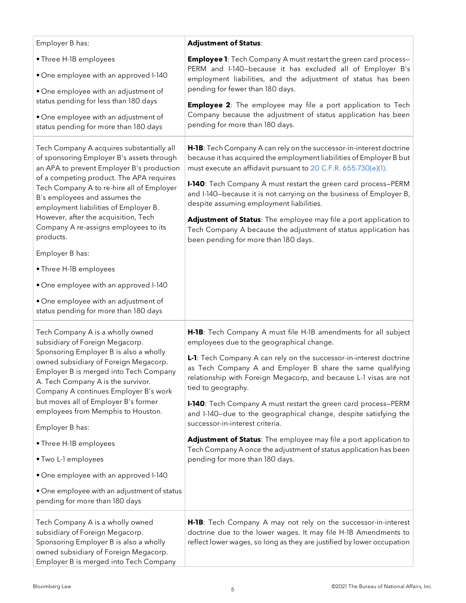| Employer B has:                                                                                                                                                                                                                                                                                                                                                                                      | <b>Adjustment of Status:</b>                                                                                                                                                                                                                                                                                                                                                                                                                                                                                                                                                       |
|------------------------------------------------------------------------------------------------------------------------------------------------------------------------------------------------------------------------------------------------------------------------------------------------------------------------------------------------------------------------------------------------------|------------------------------------------------------------------------------------------------------------------------------------------------------------------------------------------------------------------------------------------------------------------------------------------------------------------------------------------------------------------------------------------------------------------------------------------------------------------------------------------------------------------------------------------------------------------------------------|
| • Three H-1B employees                                                                                                                                                                                                                                                                                                                                                                               | <b>Employee 1:</b> Tech Company A must restart the green card process-<br>PERM and I-140-because it has excluded all of Employer B's<br>employment liabilities, and the adjustment of status has been<br>pending for fewer than 180 days.<br>Employee 2: The employee may file a port application to Tech<br>Company because the adjustment of status application has been<br>pending for more than 180 days.                                                                                                                                                                      |
| • One employee with an approved I-140                                                                                                                                                                                                                                                                                                                                                                |                                                                                                                                                                                                                                                                                                                                                                                                                                                                                                                                                                                    |
| • One employee with an adjustment of<br>status pending for less than 180 days                                                                                                                                                                                                                                                                                                                        |                                                                                                                                                                                                                                                                                                                                                                                                                                                                                                                                                                                    |
| • One employee with an adjustment of<br>status pending for more than 180 days                                                                                                                                                                                                                                                                                                                        |                                                                                                                                                                                                                                                                                                                                                                                                                                                                                                                                                                                    |
| Tech Company A acquires substantially all<br>of sponsoring Employer B's assets through<br>an APA to prevent Employer B's production<br>of a competing product. The APA requires<br>Tech Company A to re-hire all of Employer<br>B's employees and assumes the<br>employment liabilities of Employer B.<br>However, after the acquisition, Tech<br>Company A re-assigns employees to its<br>products. | H-1B: Tech Company A can rely on the successor-in-interest doctrine<br>because it has acquired the employment liabilities of Employer B but<br>must execute an affidavit pursuant to 20 C.F.R. 655.730(e)(1).<br>I-140: Tech Company A must restart the green card process-PERM<br>and I-140-because it is not carrying on the business of Employer B,<br>despite assuming employment liabilities.<br>Adjustment of Status: The employee may file a port application to<br>Tech Company A because the adjustment of status application has<br>been pending for more than 180 days. |
| Employer B has:                                                                                                                                                                                                                                                                                                                                                                                      |                                                                                                                                                                                                                                                                                                                                                                                                                                                                                                                                                                                    |
| • Three H-1B employees                                                                                                                                                                                                                                                                                                                                                                               |                                                                                                                                                                                                                                                                                                                                                                                                                                                                                                                                                                                    |
| . One employee with an approved I-140                                                                                                                                                                                                                                                                                                                                                                |                                                                                                                                                                                                                                                                                                                                                                                                                                                                                                                                                                                    |
| • One employee with an adjustment of<br>status pending for more than 180 days                                                                                                                                                                                                                                                                                                                        |                                                                                                                                                                                                                                                                                                                                                                                                                                                                                                                                                                                    |
| Tech Company A is a wholly owned<br>subsidiary of Foreign Megacorp.<br>Sponsoring Employer B is also a wholly<br>owned subsidiary of Foreign Megacorp.<br>Employer B is merged into Tech Company<br>A. Tech Company A is the survivor.<br>Company A continues Employer B's work<br>but moves all of Employer B's former<br>employees from Memphis to Houston.<br>Employer B has:                     | H-1B: Tech Company A must file H-1B amendments for all subject<br>employees due to the geographical change.<br>L-1: Tech Company A can rely on the successor-in-interest doctrine<br>as Tech Company A and Employer B share the same qualifying<br>relationship with Foreign Megacorp, and because L-1 visas are not<br>tied to geography.<br><b>I-140</b> : Tech Company A must restart the green card process-PERM<br>and I-140-due to the geographical change, despite satisfying the<br>successor-in-interest criteria.                                                        |
|                                                                                                                                                                                                                                                                                                                                                                                                      | <b>Adjustment of Status:</b> The employee may file a port application to<br>Tech Company A once the adjustment of status application has been<br>pending for more than 180 days.                                                                                                                                                                                                                                                                                                                                                                                                   |
| • Three H-1B employees                                                                                                                                                                                                                                                                                                                                                                               |                                                                                                                                                                                                                                                                                                                                                                                                                                                                                                                                                                                    |
| · Two L-1 employees                                                                                                                                                                                                                                                                                                                                                                                  |                                                                                                                                                                                                                                                                                                                                                                                                                                                                                                                                                                                    |
| • One employee with an approved I-140                                                                                                                                                                                                                                                                                                                                                                |                                                                                                                                                                                                                                                                                                                                                                                                                                                                                                                                                                                    |
| • One employee with an adjustment of status<br>pending for more than 180 days                                                                                                                                                                                                                                                                                                                        |                                                                                                                                                                                                                                                                                                                                                                                                                                                                                                                                                                                    |
| Tech Company A is a wholly owned<br>subsidiary of Foreign Megacorp.<br>Sponsoring Employer B is also a wholly<br>owned subsidiary of Foreign Megacorp.<br>Employer B is merged into Tech Company                                                                                                                                                                                                     | H-1B: Tech Company A may not rely on the successor-in-interest<br>doctrine due to the lower wages. It may file H-1B Amendments to<br>reflect lower wages, so long as they are justified by lower occupation                                                                                                                                                                                                                                                                                                                                                                        |